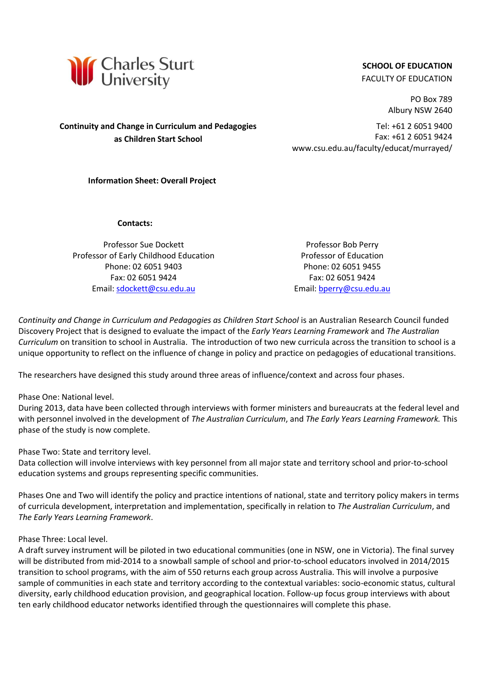

## **SCHOOL OF EDUCATION**

FACULTY OF EDUCATION

PO Box 789 Albury NSW 2640

Tel: +61 2 6051 9400 Fax: +61 2 6051 9424 www.csu.edu.au/faculty/educat/murrayed/

**Continuity and Change in Curriculum and Pedagogies as Children Start School**

**Information Sheet: Overall Project**

**Contacts:** 

Professor Sue Dockett Professor of Early Childhood Education Phone: 02 6051 9403 Fax: 02 6051 9424 Email: sdockett@csu.edu.au

Professor Bob Perry Professor of Education Phone: 02 6051 9455 Fax: 02 6051 9424 Email: bperry@csu.edu.au

*Continuity and Change in Curriculum and Pedagogies as Children Start School* is an Australian Research Council funded Discovery Project that is designed to evaluate the impact of the *Early Years Learning Framework* and *The Australian Curriculum* on transition to school in Australia. The introduction of two new curricula across the transition to school is a unique opportunity to reflect on the influence of change in policy and practice on pedagogies of educational transitions.

The researchers have designed this study around three areas of influence/context and across four phases.

## Phase One: National level.

During 2013, data have been collected through interviews with former ministers and bureaucrats at the federal level and with personnel involved in the development of *The Australian Curriculum*, and *The Early Years Learning Framework.* This phase of the study is now complete.

Phase Two: State and territory level.

Data collection will involve interviews with key personnel from all major state and territory school and prior-to-school education systems and groups representing specific communities.

Phases One and Two will identify the policy and practice intentions of national, state and territory policy makers in terms of curricula development, interpretation and implementation, specifically in relation to *The Australian Curriculum*, and *The Early Years Learning Framework*.

## Phase Three: Local level.

A draft survey instrument will be piloted in two educational communities (one in NSW, one in Victoria). The final survey will be distributed from mid-2014 to a snowball sample of school and prior-to-school educators involved in 2014/2015 transition to school programs, with the aim of 550 returns each group across Australia. This will involve a purposive sample of communities in each state and territory according to the contextual variables: socio-economic status, cultural diversity, early childhood education provision, and geographical location. Follow-up focus group interviews with about ten early childhood educator networks identified through the questionnaires will complete this phase.